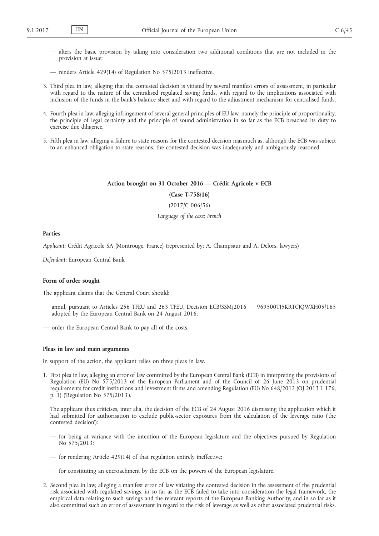- alters the basic provision by taking into consideration two additional conditions that are not included in the provision at issue;
- renders Article 429(14) of Regulation No 575/2013 ineffective.
- 3. Third plea in law, alleging that the contested decision is vitiated by several manifest errors of assessment, in particular with regard to the nature of the centralised regulated saving funds, with regard to the implications associated with inclusion of the funds in the bank's balance sheet and with regard to the adjustment mechanism for centralised funds.
- 4. Fourth plea in law, alleging infringement of several general principles of EU law, namely the principle of proportionality, the principle of legal certainty and the principle of sound administration in so far as the ECB breached its duty to exercise due diligence.
- 5. Fifth plea in law, alleging a failure to state reasons for the contested decision inasmuch as, although the ECB was subject to an enhanced obligation to state reasons, the contested decision was inadequately and ambiguously reasoned.

#### **Action brought on 31 October 2016 — Crédit Agricole v ECB**

**(Case T-758/16)**

(2017/C 006/56)

*Language of the case: French*

## **Parties**

*Applicant:* Crédit Agricole SA (Montrouge, France) (represented by: A. Champsaur and A. Delors, lawyers)

*Defendant:* European Central Bank

#### **Form of order sought**

The applicant claims that the General Court should:

- annul, pursuant to Articles 256 TFEU and 263 TFEU, Decision ECB/SSM/2016 969500TJ5KRTCJQWXH05/165 adopted by the European Central Bank on 24 August 2016;
- order the European Central Bank to pay all of the costs.

### **Pleas in law and main arguments**

In support of the action, the applicant relies on three pleas in law.

1. First plea in law, alleging an error of law committed by the European Central Bank (ECB) in interpreting the provisions of Regulation (EU) No 575/2013 of the European Parliament and of the Council of 26 June 2013 on prudential requirements for credit institutions and investment firms and amending Regulation (EU) No 648/2012 (OJ 2013 L 176, p. 1) ('Regulation No 575/2013').

The applicant thus criticises, inter alia, the decision of the ECB of 24 August 2016 dismissing the application which it had submitted for authorisation to exclude public-sector exposures from the calculation of the leverage ratio ('the contested decision'):

- for being at variance with the intention of the European legislature and the objectives pursued by Regulation No 575/2013;
- for rendering Article 429(14) of that regulation entirely ineffective;
- for constituting an encroachment by the ECB on the powers of the European legislature.
- 2. Second plea in law, alleging a manifest error of law vitiating the contested decision in the assessment of the prudential risk associated with regulated savings, in so far as the ECB failed to take into consideration the legal framework, the empirical data relating to such savings and the relevant reports of the European Banking Authority, and in so far as it also committed such an error of assessment in regard to the risk of leverage as well as other associated prudential risks.